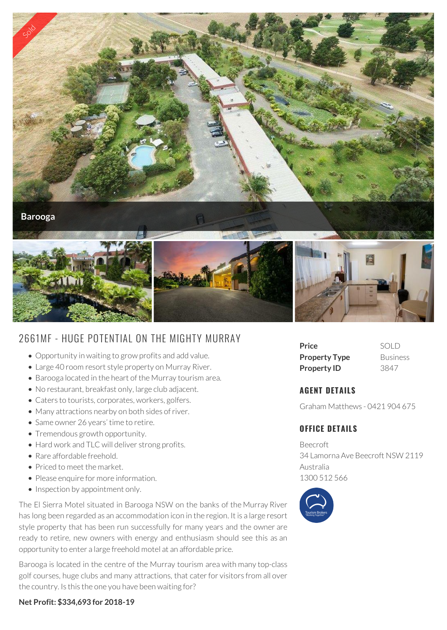

# 2661MF - HUGE POTENTIAL ON THE MIGHTY MURRAY

- Opportunity in waiting to grow profits and add value.
- Large 40 room resort style property on Murray River.
- Barooga located in the heart of the Murray tourism area.
- No restaurant, breakfast only, large club adjacent.
- Caters to tourists, corporates, workers, golfers.
- Many attractions nearby on both sides of river.
- Same owner 26 years' time to retire.
- Tremendous growth opportunity.
- Hard work and TLC will deliver strong profits.
- Rare affordable freehold.
- Priced to meet the market.
- Please enquire for more information.
- Inspection by appointment only.

The El Sierra Motel situated in Barooga NSW on the banks of the Murray River has long been regarded as an accommodation icon in the region. It is a large resort style property that has been run successfully for many years and the owner are ready to retire, new owners with energy and enthusiasm should see this as an opportunity to enter a large freehold motel at an affordable price.

Barooga is located in the centre of the Murray tourism area with many top-class golf courses, huge clubs and many attractions, that cater for visitors from all over the country. Is this the one you have been waiting for?





## **AGENT DETAILS**

Graham Matthews - 0421 904 675

## **OFFICE DETAILS**

Beecroft 34 Lamorna Ave Beecroft NSW 2119 Australia 1300 512 566